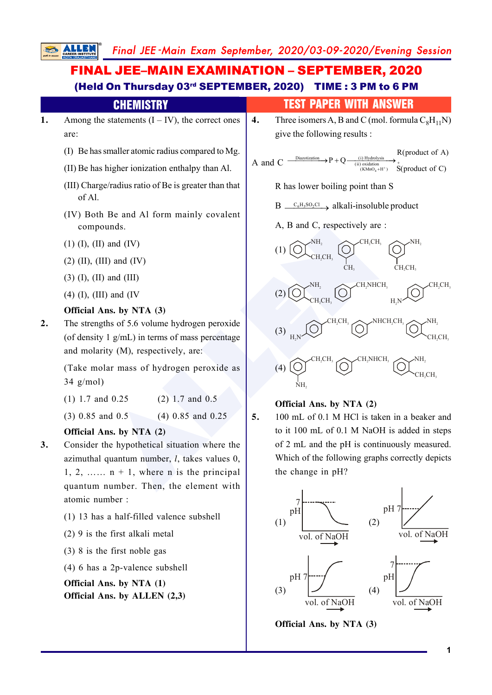#### ALLEN **1.** Among the statements  $(I - IV)$ , the correct ones are: (I) Be has smaller atomic radius compared to Mg. (II) Be has higher ionization enthalpy than Al. (III) Charge/radius ratio of Be is greater than that of Al. (IV) Both Be and Al form mainly covalent compounds. (1) (I), (II) and (IV)  $(2)$  (II), (III) and (IV) (3) (I), (II) and (III) (4) (I), (III) and (IV **Official Ans. by NTA (3) 2.** The strengths of 5.6 volume hydrogen peroxide (of density 1 g/mL) in terms of mass percentage and molarity (M), respectively, are: (Take molar mass of hydrogen peroxide as 34 g/mol) (1) 1.7 and 0.25 (2) 1.7 and 0.5 (3) 0.85 and 0.5 (4) 0.85 and 0.25 **Official Ans. by NTA (2) 3.** Consider the hypothetical situation where the azimuthal quantum number, *l*, takes values 0, 1, 2, ……  $n + 1$ , where n is the principal quantum number. Then, the element with atomic number : (1) 13 has a half-filled valence subshell (2) 9 is the first alkali metal (3) 8 is the first noble gas (4) 6 has a 2p-valence subshell **Official Ans. by NTA (1)** FINAL JEE–MAIN EXAMINATION – SEPTEMBER, 2020 (Held On Thursday 03rd SEPTEMBER, 2020) TIME : 3 PM to 6 PM CHEMISTRY TEST PAPER WITH ANSWER **4.** Three isomers A, B and C (mol. formula  $C_8H_{11}N$ ) give the following results : A and C  $-$ 4 Diazotization (i) Hydrolysis (ii) oxidation (KMnO H ) S(product of C) + + R(product of A)  $\rightarrow P + Q$ +  $\longrightarrow P + Q \xrightarrow{(\text{i}) \text{ Hydrolysis}} P$ R has lower boiling point than S  $B \sim c_6H_5SO_2Cl \longrightarrow$  alkali-insoluble product A, B and C, respectively are : (1) NH  $\sim$ CH<sub>2</sub>CH<sub>3</sub>  $\sim$ NH 2 CH<sub>2</sub>CH<sub>3</sub> CH  $CH_2CH_3$ (2) NH  $\sqrt{CH_2}NHCH_3$   $\sqrt{CH_2CH_3}$  $CH_2CH_3 \longrightarrow H_2N$ (3)  $\mathrm{NHCH_2CH_3}$  $H_2N$   $\vee$   $CH_2CH_3$ (4)  $\angle$ CH<sub>2</sub>NHCH<sub>3</sub> 2 NH 2  $CH_2CH_3$ **Official Ans. by NTA (2) 5.** 100 mL of 0.1 M HCl is taken in a beaker and to it 100 mL of 0.1 M NaOH is added in steps of 2 mL and the pH is continuously measured. Which of the following graphs correctly depicts the change in pH? (1) 7 pH vol. of NaOH (2) pH 7 vol. of NaOH (3) pH 7 (4) pH7

**Official Ans. by ALLEN (2,3)**

**Official Ans. by NTA (3)**

vol. of NaOH

**1**

vol. of NaOH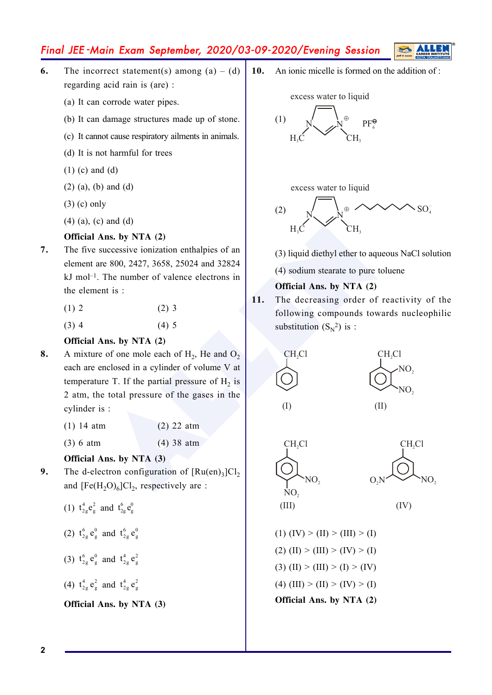- **6.** The incorrect statement(s) among  $(a) (d)$ regarding acid rain is (are) :
	- (a) It can corrode water pipes.
	- (b) It can damage structures made up of stone.
	- (c) It cannot cause respiratory ailments in animals.
	- (d) It is not harmful for trees
	- (1) (c) and (d)
	- (2) (a), (b) and (d)
	- (3) (c) only
	- (4) (a), (c) and (d)

### **Official Ans. by NTA (2)**

- **7.** The five successive ionization enthalpies of an element are 800, 2427, 3658, 25024 and 32824 kJ mol–1. The number of valence electrons in the element is :
	- $(1) 2$  (2) 3
	- $(3)$  4  $(4)$  5

### **Official Ans. by NTA (2)**

- Ans. by NTA (2)<br>
successive ionization enthalpies of an<br>
re 800, 2427, 3658, 25024 and 32824<br>
The number of valence electrons in<br>
ent is :<br>
(2) 3<br>
(4) sodium stearate to pure tolue<br>
official Ans. by NTA (2)<br>
official Ans. **8.** A mixture of one mole each of  $H_2$ , He and  $O_2$ each are enclosed in a cylinder of volume V at temperature T. If the partial pressure of  $H_2$  is 2 atm, the total pressure of the gases in the cylinder is :
	- (1) 14 atm (2) 22 atm
	- (3) 6 atm (4) 38 atm

### **Official Ans. by NTA (3)**

- **9.** The d-electron configuration of  $[Ru(en)_3]Cl_2$ and  $[Fe(H<sub>2</sub>O)<sub>6</sub>]Cl<sub>2</sub>$ , respectively are :
	- (1)  $t_{2g}^4 e_g^2$  and  $t_{2g}^6 e_g^0$
	- (2)  $t_{2g}^6 e_g^0$  and  $t_{2g}^6 e_g^0$
	- (3)  $t_{2g}^6 e_g^0$  and  $t_{2g}^4 e_g^2$
	- (4)  $t_{2g}^4 e_g^2$  and  $t_{2g}^4 e_g^2$

### **Official Ans. by NTA (3)**

**10.** An ionic micelle is formed on the addition of :



excess water to liquid



(3) liquid diethyl ether to aqueous NaCl solution

(4) sodium stearate to pure toluene

### **Official Ans. by NTA (2)**

**11.** The decreasing order of reactivity of the following compounds towards nucleophilic substitution  $(S_N^2)$  is :



(I)







(1)  $(IV) > (II) > (III) > (I)$ (2) (II) > (III) > (IV) > (I) (3) (II) > (III) > (I) > (IV) (4) (III) > (II) > (IV) > (I) **Official Ans. by NTA (2)**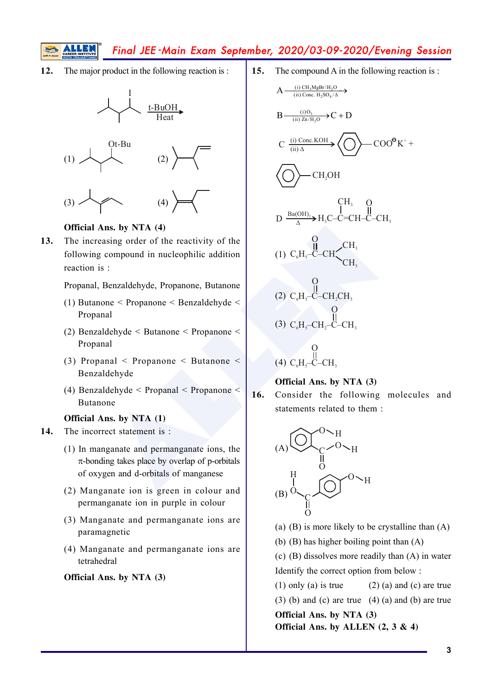**12.** The major product in the following reaction is :







### **Official Ans. by NTA (4)**

**13.** The increasing order of the reactivity of the following compound in nucleophilic addition reaction is :

Propanal, Benzaldehyde, Propanone, Butanone

- (1) Butanone < Propanone < Benzaldehyde < Propanal
- (2) Benzaldehyde < Butanone < Propanone < Propanal
- (3) Propanal < Propanone < Butanone < Benzaldehyde
- (4) Benzaldehyde < Propanal < Propanone < Butanone

### **Official Ans. by NTA (1)**

- **14.** The incorrect statement is :
	- (1) In manganate and permanganate ions, the  $\pi$ -bonding takes place by overlap of p-orbitals of oxygen and d-orbitals of manganese
	- (2) Manganate ion is green in colour and permanganate ion in purple in colour
	- (3) Manganate and permanganate ions are paramagnetic
	- (4) Manganate and permanganate ions are tetrahedral

### **Official Ans. by NTA (3)**

**15.** The compound A in the following reaction is :

A  
\n
$$
\frac{1}{1-\text{BuOH}}
$$
\nB  
\n
$$
\frac{1-\text{BuOH}}{1-\text{Heat}}
$$
\nC  
\n
$$
\frac{1}{(i)}\sum_{\text{one. } i} \text{B } \frac{1}{(ii)}\sum_{\text{one. } i} \text{C } \text{F} \text{D}
$$
\nC  
\n
$$
\frac{1}{(ii)}\sum_{\text{one. } i} \text{C } \frac{1}{(ii)}\sum_{\text{one. } i} \text{C } \text{F} \text{D}
$$
\nC  
\n
$$
\frac{1}{(ii)}\sum_{\text{one. } i} \text{C } \text{F} \text{D}
$$
\nC  
\n
$$
\frac{1}{(iii)}\sum_{\text{one. } i} \text{C } \text{F} \text{D}
$$
\nC  
\n
$$
\frac{1}{(iv)}\sum_{\text{one. } i} \text{C } \text{F} \text{D}
$$
\nC  
\n
$$
\frac{1}{(v)}\sum_{\text{one. } i} \text{C } \text{F} \text{D}
$$
\nC  
\n
$$
\frac{1}{(v)}\sum_{\text{one. } i} \text{C } \text{F} \text{D}
$$
\nD  
\n
$$
\frac{1}{\text{Ba(OH)}_{i}} \Rightarrow \text{H}_{i} \text{C} - \text{C} + \text{C} - \text{CH}_{i}
$$
\nE  
\n
$$
\frac{1}{\text{A}}\sum_{\text{one. } i} \text{C } \text{H}_{i}
$$
\nD  
\n
$$
\frac{1}{\text{Ba(OH)}_{i}} \Rightarrow \text{H}_{i} \text{C} - \text{C} + \text{C} - \text{CH}_{i}
$$
\nE  
\n
$$
\frac{1}{\text{A}}\sum_{\text{one. } i} \text{C } \text{H}_{i}
$$
\nD  
\n
$$
\frac{1}{\text{Ba(OH)}_{i}} \Rightarrow \text{H}_{i} \text{C} - \text{C} + \text{C} - \text{CH}_{i}
$$
\nE  
\n
$$
\frac{1}{\text{A}}\sum_{\text{one. } i} \text{C } \text{H}_{i}
$$
\nE  
\n
$$
\frac{1}{\text{A}}\sum
$$

**Official Ans. by NTA (3)**

**16.** Consider the following molecules and statements related to them :



- (a)  $(B)$  is more likely to be crystalline than  $(A)$
- (b) (B) has higher boiling point than (A)

(c) (B) dissolves more readily than (A) in water Identify the correct option from below :

(1) only (a) is true  $(2)$  (a) and (c) are true (3) (b) and (c) are true  $(4)$  (a) and (b) are true **Official Ans. by NTA (3) Official Ans. by ALLEN (2, 3 & 4)**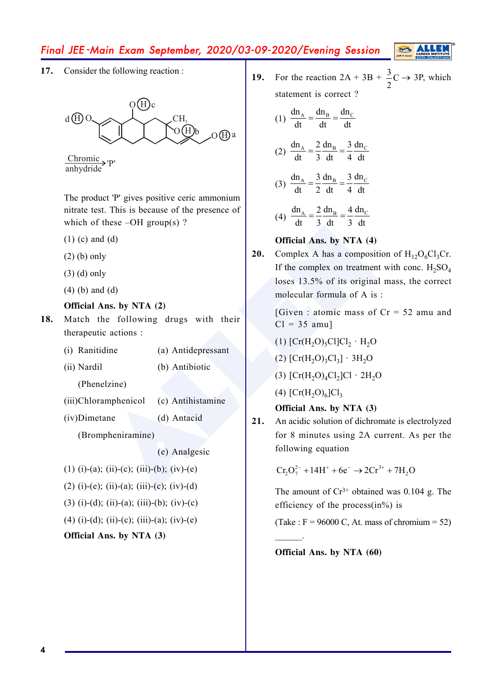**17.** Consider the following reaction :



Chromic P'<br>anhydride

The product 'P' gives positive ceric ammonium nitrate test. This is because of the presence of which of these  $-OH$  group(s)?

- (1) (c) and (d)
- (2) (b) only
- (3) (d) only
- (4) (b) and (d)

### **Official Ans. by NTA (2)**

- **18.** Match the following drugs with their therapeutic actions :
	- (i) Ranitidine (a) Antidepressant
	- (ii) Nardil (b) Antibiotic

(Phenelzine)

- (iii)Chloramphenicol (c) Antihistamine
- (iv)Dimetane (d) Antacid
	-

(Brompheniramine)

### (e) Analgesic

- (1) (i)-(a); (ii)-(c); (iii)-(b); (iv)-(e)
- (2) (i)-(e); (ii)-(a); (iii)-(c); (iv)-(d)
- (3) (i)-(d); (ii)-(a); (iii)-(b); (iv)-(c)
- (4) (i)-(d); (ii)-(c); (iii)-(a); (iv)-(e)

### **Official Ans. by NTA (3)**

**19.** For the reaction  $2A + 3B + \frac{3}{5}C$ 2  $\rightarrow$  3P, which statement is correct ?

$$
(1) \frac{dn_A}{dt} = \frac{dn_B}{dt} = \frac{dn_C}{dt}
$$

(2) 
$$
\frac{dn_A}{dt} = \frac{2}{3} \frac{dn_B}{dt} = \frac{3}{4} \frac{dn_C}{dt}
$$

(3) 
$$
\frac{dn_A}{dt} = \frac{3}{2} \frac{dn_B}{dt} = \frac{3}{4} \frac{dn_C}{dt}
$$

(4) 
$$
\frac{dn_A}{dt} = \frac{2}{3} \frac{dn_B}{dt} = \frac{4}{3} \frac{dn_C}{dt}
$$

### **Official Ans. by NTA (4)**

These -OH group(s) ?<br>
at 3 dt 3 dt<br>
d (d)<br>
1<br>
1<br>
1<br>
al (d)<br>
1<br>
4 d (d)<br>
1<br>
4 d (d)<br>
1<br>
20. Complex A has a composition of<br>
1<br>
1<br>
1<br>
1<br>
ic actions :<br>
ic actions :<br>
(a) Antidepressant<br>
(b) Antibiotic<br>
(c) Antihistamine<br>
(d) **20.** Complex A has a composition of  $H_{12}O_6Cl_3Cr$ . If the complex on treatment with conc.  $H_2SO_4$ loses 13.5% of its original mass, the correct molecular formula of A is :

[Given : atomic mass of  $Cr = 52$  amu and  $Cl = 35$  amu]

$$
(1) [Cr(H2O)5Cl]Cl2 · H2O
$$

(2)  $[Cr(H<sub>2</sub>O)<sub>3</sub>Cl<sub>3</sub>] \cdot 3H<sub>2</sub>O$ 

- (3)  $[Cr(H<sub>2</sub>O)<sub>4</sub>Cl<sub>2</sub>]Cl \cdot 2H<sub>2</sub>O$
- (4)  $[Cr(H<sub>2</sub>O)<sub>6</sub>]Cl<sub>3</sub>$

### **Official Ans. by NTA (3)**

**21.** An acidic solution of dichromate is electrolyzed for 8 minutes using 2A current. As per the following equation

 $Cr_2O_7^{2-} + 14H^+ + 6e^- \rightarrow 2Cr^{3+} + 7H_2O$ 

The amount of  $Cr^{3+}$  obtained was 0.104 g. The efficiency of the process $(in\%)$  is

(Take :  $F = 96000$  C, At. mass of chromium = 52)

**Official Ans. by NTA (60)**

 $\mathcal{L}=\mathcal{L}$